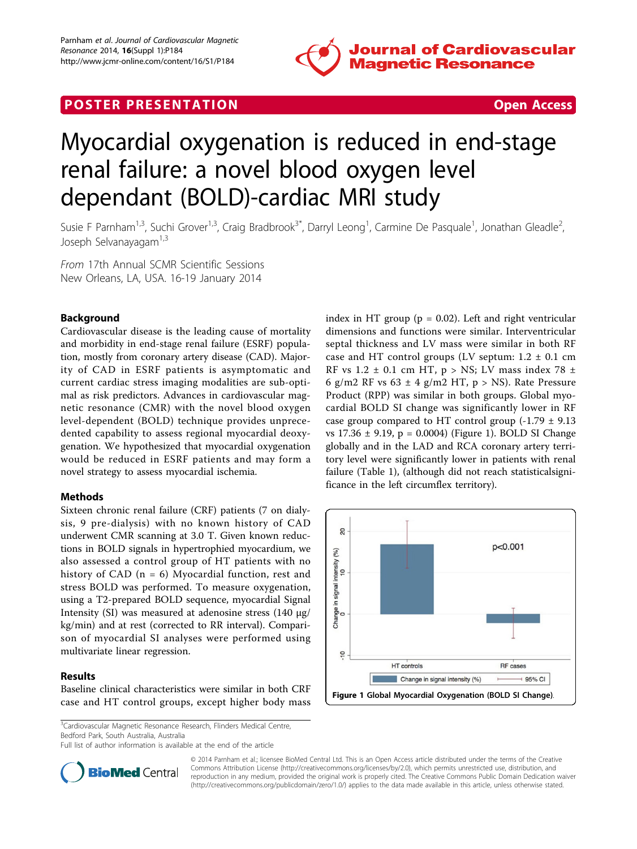

# **POSTER PRESENTATION CONSUMING THE SECOND CONSUMING THE SECOND CONSUMING THE SECOND CONSUMING THE SECOND CONSUMING THE SECOND CONSUMING THE SECOND CONSUMING THE SECOND CONSUMING THE SECOND CONSUMING THE SECOND CONSUMING**



# Myocardial oxygenation is reduced in end-stage renal failure: a novel blood oxygen level dependant (BOLD)-cardiac MRI study

Susie F Parnham<sup>1,3</sup>, Suchi Grover<sup>1,3</sup>, Craig Bradbrook<sup>3\*</sup>, Darryl Leong<sup>1</sup>, Carmine De Pasquale<sup>1</sup>, Jonathan Gleadle<sup>2</sup> , Joseph Selvanayagam<sup>1,3</sup>

From 17th Annual SCMR Scientific Sessions New Orleans, LA, USA. 16-19 January 2014

## Background

Cardiovascular disease is the leading cause of mortality and morbidity in end-stage renal failure (ESRF) population, mostly from coronary artery disease (CAD). Majority of CAD in ESRF patients is asymptomatic and current cardiac stress imaging modalities are sub-optimal as risk predictors. Advances in cardiovascular magnetic resonance (CMR) with the novel blood oxygen level-dependent (BOLD) technique provides unprecedented capability to assess regional myocardial deoxygenation. We hypothesized that myocardial oxygenation would be reduced in ESRF patients and may form a novel strategy to assess myocardial ischemia.

#### Methods

Sixteen chronic renal failure (CRF) patients (7 on dialysis, 9 pre-dialysis) with no known history of CAD underwent CMR scanning at 3.0 T. Given known reductions in BOLD signals in hypertrophied myocardium, we also assessed a control group of HT patients with no history of CAD  $(n = 6)$  Myocardial function, rest and stress BOLD was performed. To measure oxygenation, using a T2-prepared BOLD sequence, myocardial Signal Intensity (SI) was measured at adenosine stress (140 μg/ kg/min) and at rest (corrected to RR interval). Comparison of myocardial SI analyses were performed using multivariate linear regression.

#### Results

Baseline clinical characteristics were similar in both CRF case and HT control groups, except higher body mass

<sup>3</sup>Cardiovascular Magnetic Resonance Research, Flinders Medical Centre, Bedford Park, South Australia, Australia

Full list of author information is available at the end of the article







© 2014 Parnham et al.; licensee BioMed Central Ltd. This is an Open Access article distributed under the terms of the Creative Commons Attribution License [\(http://creativecommons.org/licenses/by/2.0](http://creativecommons.org/licenses/by/2.0)), which permits unrestricted use, distribution, and reproduction in any medium, provided the original work is properly cited. The Creative Commons Public Domain Dedication waiver [\(http://creativecommons.org/publicdomain/zero/1.0/](http://creativecommons.org/publicdomain/zero/1.0/)) applies to the data made available in this article, unless otherwise stated.